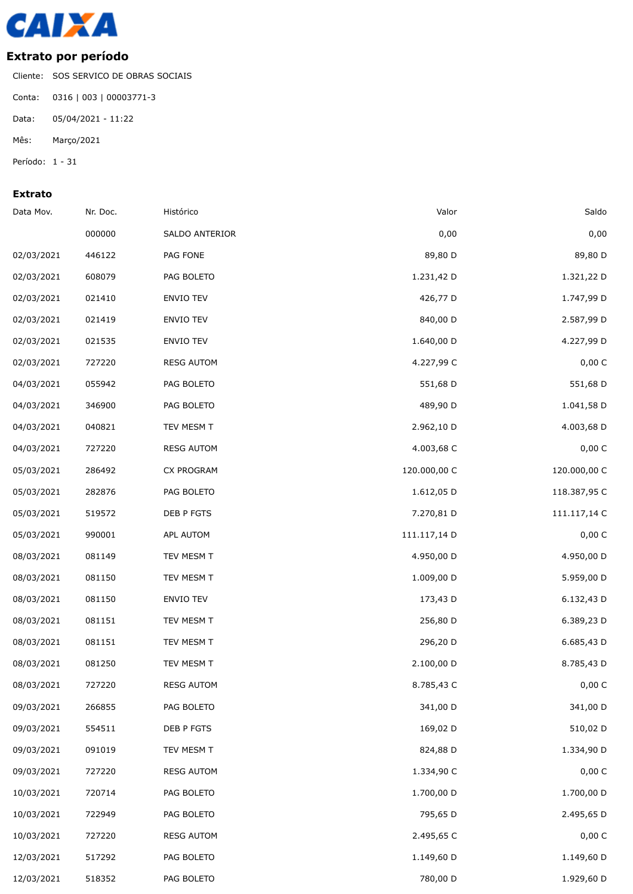

## **Extrato por período**

Cliente: SOS SERVICO DE OBRAS SOCIAIS Conta: 0316 | 003 | 00003771-3 Data: 05/04/2021 - 11:22

Mês: Março/2021

Período: 1 - 31

## **Extrato**

| Data Mov.  | Nr. Doc. | Histórico         | Valor        | Saldo        |
|------------|----------|-------------------|--------------|--------------|
|            | 000000   | SALDO ANTERIOR    | 0,00         | 0,00         |
| 02/03/2021 | 446122   | PAG FONE          | 89,80 D      | 89,80 D      |
| 02/03/2021 | 608079   | PAG BOLETO        | 1.231,42 D   | 1.321,22 D   |
| 02/03/2021 | 021410   | ENVIO TEV         | 426,77 D     | 1.747,99 D   |
| 02/03/2021 | 021419   | ENVIO TEV         | 840,00 D     | 2.587,99 D   |
| 02/03/2021 | 021535   | ENVIO TEV         | 1.640,00 D   | 4.227,99 D   |
| 02/03/2021 | 727220   | <b>RESG AUTOM</b> | 4.227,99 C   | 0,00 C       |
| 04/03/2021 | 055942   | PAG BOLETO        | 551,68 D     | 551,68 D     |
| 04/03/2021 | 346900   | PAG BOLETO        | 489,90 D     | 1.041,58 D   |
| 04/03/2021 | 040821   | TEV MESM T        | 2.962,10 D   | 4.003,68 D   |
| 04/03/2021 | 727220   | <b>RESG AUTOM</b> | 4.003,68 C   | 0,00 C       |
| 05/03/2021 | 286492   | <b>CX PROGRAM</b> | 120.000,00 C | 120.000,00 C |
| 05/03/2021 | 282876   | PAG BOLETO        | 1.612,05 D   | 118.387,95 C |
| 05/03/2021 | 519572   | DEB P FGTS        | 7.270,81 D   | 111.117,14 C |
| 05/03/2021 | 990001   | APL AUTOM         | 111.117,14 D | 0,00 C       |
| 08/03/2021 | 081149   | TEV MESM T        | 4.950,00 D   | 4.950,00 D   |
| 08/03/2021 | 081150   | TEV MESM T        | 1.009,00 D   | 5.959,00 D   |
| 08/03/2021 | 081150   | ENVIO TEV         | 173,43 D     | 6.132,43 D   |
| 08/03/2021 | 081151   | TEV MESM T        | 256,80 D     | 6.389,23 D   |
| 08/03/2021 | 081151   | TEV MESM T        | 296,20 D     | 6.685,43 D   |
| 08/03/2021 | 081250   | TEV MESM T        | 2.100,00 D   | 8.785,43 D   |
| 08/03/2021 | 727220   | <b>RESG AUTOM</b> | 8.785,43 C   | 0,00 C       |
| 09/03/2021 | 266855   | PAG BOLETO        | 341,00 D     | 341,00 D     |
| 09/03/2021 | 554511   | DEB P FGTS        | 169,02 D     | 510,02 D     |
| 09/03/2021 | 091019   | TEV MESM T        | 824,88 D     | 1.334,90 D   |
| 09/03/2021 | 727220   | <b>RESG AUTOM</b> | 1.334,90 C   | 0,00 C       |
| 10/03/2021 | 720714   | PAG BOLETO        | 1.700,00 D   | 1.700,00 D   |
| 10/03/2021 | 722949   | PAG BOLETO        | 795,65 D     | 2.495,65 D   |
| 10/03/2021 | 727220   | <b>RESG AUTOM</b> | 2.495,65 C   | 0,00 C       |
| 12/03/2021 | 517292   | PAG BOLETO        | 1.149,60 D   | 1.149,60 D   |
| 12/03/2021 | 518352   | PAG BOLETO        | 780,00 D     | 1.929,60 D   |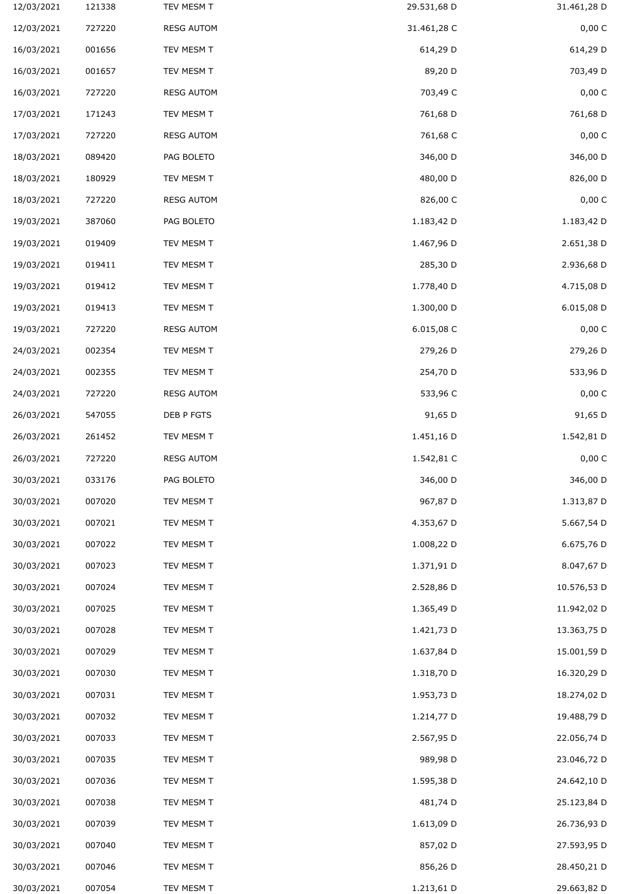| 12/03/2021 | 121338 | TEV MESM T        | 29.531,68 D | 31.461,28 D |
|------------|--------|-------------------|-------------|-------------|
| 12/03/2021 | 727220 | <b>RESG AUTOM</b> | 31.461,28 C | 0,00 C      |
| 16/03/2021 | 001656 | TEV MESM T        | 614,29 D    | 614,29 D    |
| 16/03/2021 | 001657 | TEV MESM T        | 89,20 D     | 703,49 D    |
| 16/03/2021 | 727220 | <b>RESG AUTOM</b> | 703,49 C    | 0,00 C      |
| 17/03/2021 | 171243 | TEV MESM T        | 761,68 D    | 761,68 D    |
| 17/03/2021 | 727220 | <b>RESG AUTOM</b> | 761,68 C    | 0,00 C      |
| 18/03/2021 | 089420 | PAG BOLETO        | 346,00 D    | 346,00 D    |
| 18/03/2021 | 180929 | TEV MESM T        | 480,00 D    | 826,00 D    |
| 18/03/2021 | 727220 | <b>RESG AUTOM</b> | 826,00 C    | 0,00 C      |
| 19/03/2021 | 387060 | PAG BOLETO        | 1.183,42 D  | 1.183,42 D  |
| 19/03/2021 | 019409 | TEV MESM T        | 1.467,96 D  | 2.651,38 D  |
| 19/03/2021 | 019411 | TEV MESM T        | 285,30 D    | 2.936,68 D  |
| 19/03/2021 | 019412 | TEV MESM T        | 1.778,40 D  | 4.715,08 D  |
| 19/03/2021 | 019413 | TEV MESM T        | 1.300,00 D  | 6.015,08 D  |
| 19/03/2021 | 727220 | <b>RESG AUTOM</b> | 6.015,08 C  | 0,00 C      |
| 24/03/2021 | 002354 | TEV MESM T        | 279,26 D    | 279,26 D    |
| 24/03/2021 | 002355 | TEV MESM T        | 254,70 D    | 533,96 D    |
| 24/03/2021 | 727220 | <b>RESG AUTOM</b> | 533,96 C    | 0,00 C      |
| 26/03/2021 | 547055 | DEB P FGTS        | 91,65 D     | 91,65 D     |
| 26/03/2021 | 261452 | TEV MESM T        | 1.451,16 D  | 1.542,81 D  |
| 26/03/2021 | 727220 | <b>RESG AUTOM</b> | 1.542,81 C  | 0,00 C      |
| 30/03/2021 | 033176 | PAG BOLETO        | 346,00 D    | 346,00 D    |
| 30/03/2021 | 007020 | TEV MESM T        | 967,87 D    | 1.313,87 D  |
| 30/03/2021 | 007021 | TEV MESM T        | 4.353,67 D  | 5.667,54 D  |
| 30/03/2021 | 007022 | TEV MESM T        | 1.008,22 D  | 6.675,76 D  |
| 30/03/2021 | 007023 | TEV MESM T        | 1.371,91 D  | 8.047,67 D  |
| 30/03/2021 | 007024 | TEV MESM T        | 2.528,86 D  | 10.576,53 D |
| 30/03/2021 | 007025 | TEV MESM T        | 1.365,49 D  | 11.942,02 D |
| 30/03/2021 | 007028 | TEV MESM T        | 1.421,73 D  | 13.363,75 D |
| 30/03/2021 | 007029 | TEV MESM T        | 1.637,84 D  | 15.001,59 D |
| 30/03/2021 | 007030 | TEV MESM T        | 1.318,70 D  | 16.320,29 D |
| 30/03/2021 | 007031 | TEV MESM T        | 1.953,73 D  | 18.274,02 D |
| 30/03/2021 | 007032 | TEV MESM T        | 1.214,77 D  | 19.488,79 D |
| 30/03/2021 | 007033 | TEV MESM T        | 2.567,95 D  | 22.056,74 D |
| 30/03/2021 | 007035 | TEV MESM T        | 989,98 D    | 23.046,72 D |
| 30/03/2021 | 007036 | TEV MESM T        | 1.595,38 D  | 24.642,10 D |
| 30/03/2021 | 007038 | TEV MESM T        | 481,74 D    | 25.123,84 D |
| 30/03/2021 | 007039 | TEV MESM T        | 1.613,09 D  | 26.736,93 D |
| 30/03/2021 | 007040 | TEV MESM T        | 857,02 D    | 27.593,95 D |
| 30/03/2021 | 007046 | TEV MESM T        | 856,26 D    | 28.450,21 D |
| 30/03/2021 | 007054 | TEV MESM T        | 1.213,61 D  | 29.663,82 D |